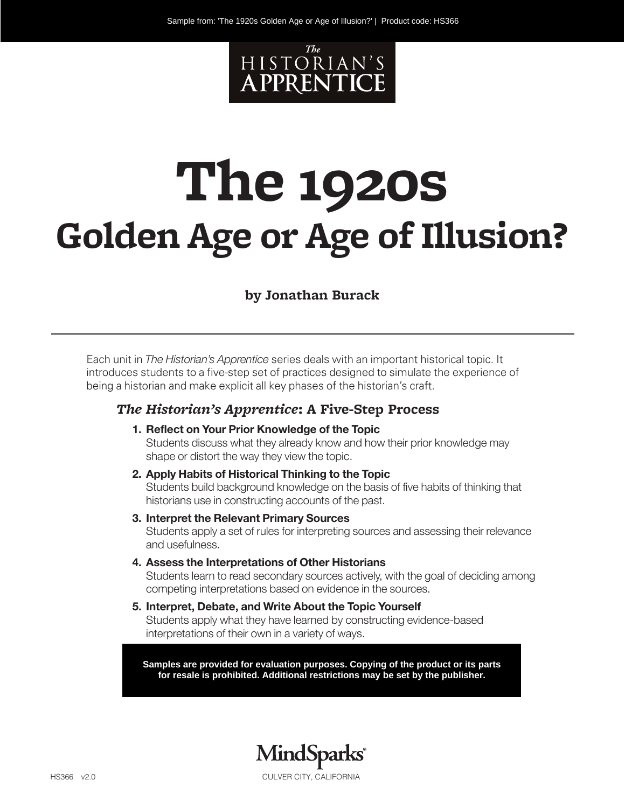

# **The 1920s Golden Age or Age of Illusion?**

#### **by Jonathan Burack**

Each unit in *The Historian's Apprentice* series deals with an important historical topic. It introduces students to a five-step set of practices designed to simulate the experience of being a historian and make explicit all key phases of the historian's craft.

#### *The Historian's Apprentice***: A Five-Step Process**

- **1. Reflect on Your Prior Knowledge of the Topic** Students discuss what they already know and how their prior knowledge may shape or distort the way they view the topic.
- **2. Apply Habits of Historical Thinking to the Topic** Students build background knowledge on the basis of five habits of thinking that historians use in constructing accounts of the past.
- **3. Interpret the Relevant Primary Sources** Students apply a set of rules for interpreting sources and assessing their relevance and usefulness.
- **4. Assess the Interpretations of Other Historians**

Students learn to read secondary sources actively, with the goal of deciding among competing interpretations based on evidence in the sources.

**5. Interpret, Debate, and Write About the Topic Yourself** Students apply what they have learned by constructing evidence-based interpretations of their own in a variety of ways.

**Samples are provided for evaluation purposes. Copying of the product or its parts for resale is prohibited. Additional restrictions may be set by the publisher.**

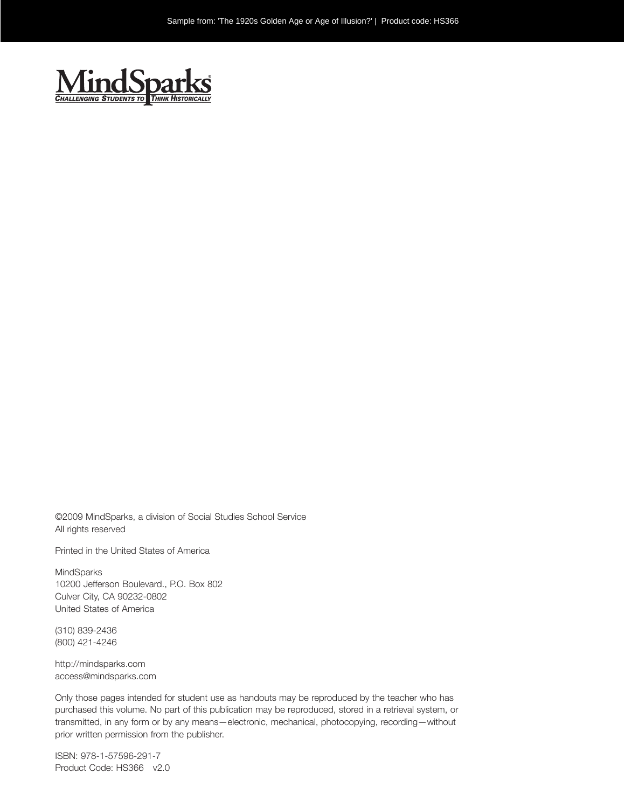

©2009 MindSparks, a division of Social Studies School Service All rights reserved

Printed in the United States of America

MindSparks 10200 Jefferson Boulevard., P.O. Box 802 Culver City, CA 90232-0802 United States of America

(310) 839-2436 (800) 421-4246

http://mindsparks.com access@mindsparks.com

Only those pages intended for student use as handouts may be reproduced by the teacher who has purchased this volume. No part of this publication may be reproduced, stored in a retrieval system, or transmitted, in any form or by any means—electronic, mechanical, photocopying, recording—without prior written permission from the publisher.

ISBN: 978-1-57596-291-7 Product Code: HS366 v2.0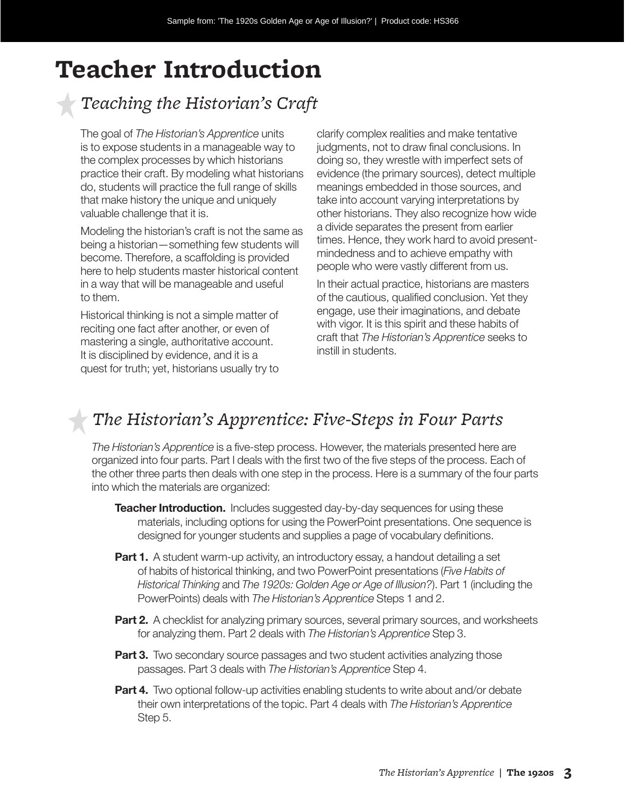## **Teacher Introduction**

## *Teaching the Historian's Craft*

The goal of *The Historian's Apprentice* units is to expose students in a manageable way to the complex processes by which historians practice their craft. By modeling what historians do, students will practice the full range of skills that make history the unique and uniquely valuable challenge that it is.

Modeling the historian's craft is not the same as being a historian—something few students will become. Therefore, a scaffolding is provided here to help students master historical content in a way that will be manageable and useful to them.

Historical thinking is not a simple matter of reciting one fact after another, or even of mastering a single, authoritative account. It is disciplined by evidence, and it is a quest for truth; yet, historians usually try to

clarify complex realities and make tentative judgments, not to draw final conclusions. In doing so, they wrestle with imperfect sets of evidence (the primary sources), detect multiple meanings embedded in those sources, and take into account varying interpretations by other historians. They also recognize how wide a divide separates the present from earlier times. Hence, they work hard to avoid presentmindedness and to achieve empathy with people who were vastly different from us.

In their actual practice, historians are masters of the cautious, qualified conclusion. Yet they engage, use their imaginations, and debate with vigor. It is this spirit and these habits of craft that *The Historian's Apprentice* seeks to instill in students.

## *The Historian's Apprentice: Five-Steps in Four Parts*

*The Historian's Apprentice* is a five-step process. However, the materials presented here are organized into four parts. Part I deals with the first two of the five steps of the process. Each of the other three parts then deals with one step in the process. Here is a summary of the four parts into which the materials are organized:

- **Teacher Introduction.** Includes suggested day-by-day sequences for using these materials, including options for using the PowerPoint presentations. One sequence is designed for younger students and supplies a page of vocabulary definitions.
- **Part 1.** A student warm-up activity, an introductory essay, a handout detailing a set of habits of historical thinking, and two PowerPoint presentations (*Five Habits of Historical Thinking* and *The 1920s: Golden Age or Age of Illusion?*). Part 1 (including the PowerPoints) deals with *The Historian's Apprentice* Steps 1 and 2.
- **Part 2.** A checklist for analyzing primary sources, several primary sources, and worksheets for analyzing them. Part 2 deals with *The Historian's Apprentice* Step 3.
- **Part 3.** Two secondary source passages and two student activities analyzing those passages. Part 3 deals with *The Historian's Apprentice* Step 4.
- **Part 4.** Two optional follow-up activities enabling students to write about and/or debate their own interpretations of the topic. Part 4 deals with *The Historian's Apprentice* Step 5.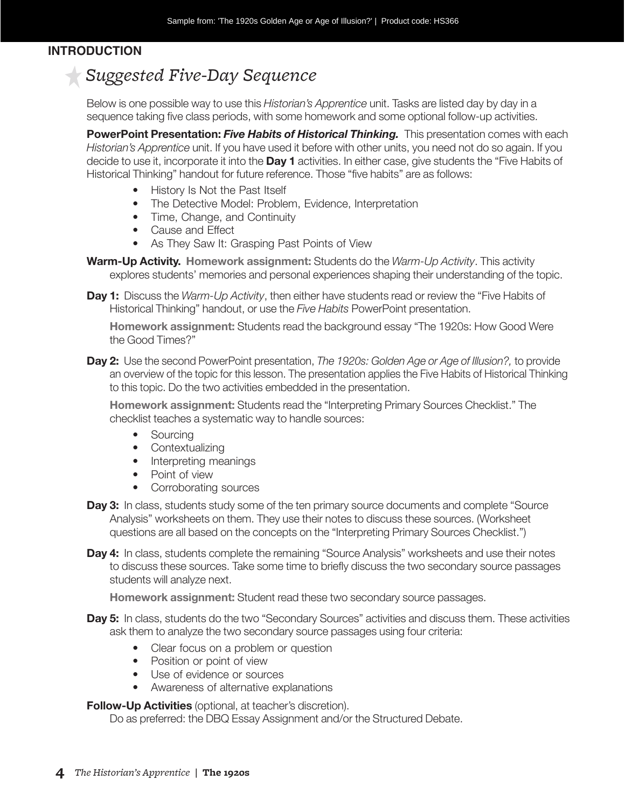#### *Teacher* **INTRODUCTION**

## *Suggested Five-Day Sequence*

Below is one possible way to use this *Historian's Apprentice* unit. Tasks are listed day by day in a sequence taking five class periods, with some homework and some optional follow-up activities.

**PowerPoint Presentation:** *Five Habits of Historical Thinking.* This presentation comes with each *Historian's Apprentice* unit. If you have used it before with other units, you need not do so again. If you decide to use it, incorporate it into the **Day 1** activities. In either case, give students the "Five Habits of Historical Thinking" handout for future reference. Those "five habits" are as follows:

- History Is Not the Past Itself
- The Detective Model: Problem, Evidence, Interpretation
- Time, Change, and Continuity
- Cause and Effect
- As They Saw It: Grasping Past Points of View

**Warm-Up Activity. Homework assignment:** Students do the *Warm-Up Activity*. This activity explores students' memories and personal experiences shaping their understanding of the topic.

**Day 1:** Discuss the *Warm-Up Activity*, then either have students read or review the "Five Habits of Historical Thinking" handout, or use the *Five Habits* PowerPoint presentation.

**Homework assignment:** Students read the background essay "The 1920s: How Good Were the Good Times?"

**Day 2:** Use the second PowerPoint presentation, *The 1920s: Golden Age or Age of Illusion?,* to provide an overview of the topic for this lesson. The presentation applies the Five Habits of Historical Thinking to this topic. Do the two activities embedded in the presentation.

**Homework assignment:** Students read the "Interpreting Primary Sources Checklist." The checklist teaches a systematic way to handle sources:

- Sourcing
- Contextualizing
- Interpreting meanings
- Point of view
- Corroborating sources
- **Day 3:** In class, students study some of the ten primary source documents and complete "Source Analysis" worksheets on them. They use their notes to discuss these sources. (Worksheet questions are all based on the concepts on the "Interpreting Primary Sources Checklist.")
- **Day 4:** In class, students complete the remaining "Source Analysis" worksheets and use their notes to discuss these sources. Take some time to briefly discuss the two secondary source passages students will analyze next.

**Homework assignment:** Student read these two secondary source passages.

- **Day 5:** In class, students do the two "Secondary Sources" activities and discuss them. These activities ask them to analyze the two secondary source passages using four criteria:
	- Clear focus on a problem or question
	- Position or point of view
	- Use of evidence or sources
	- Awareness of alternative explanations

**Follow-Up Activities** (optional, at teacher's discretion).

Do as preferred: the DBQ Essay Assignment and/or the Structured Debate.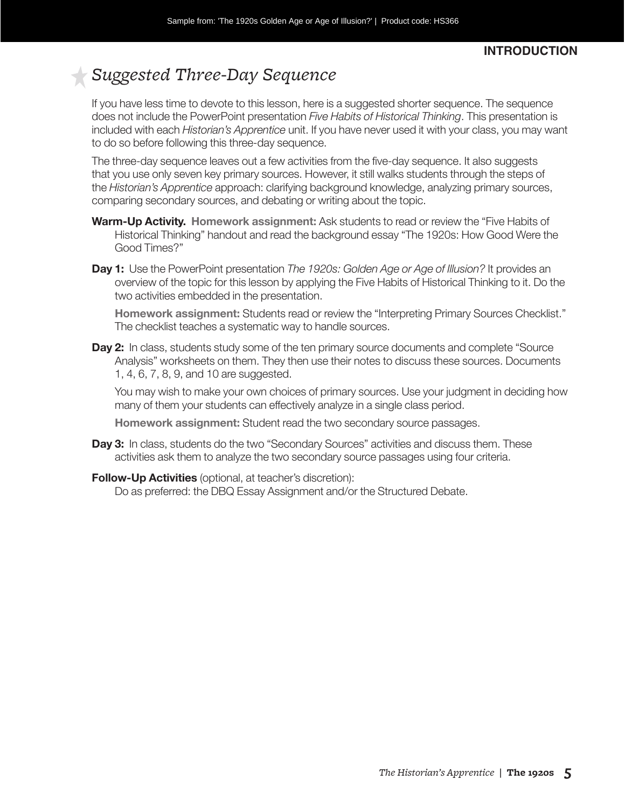#### *Teacher*  **INTRODUCTION**

## *Suggested Three-Day Sequence*

If you have less time to devote to this lesson, here is a suggested shorter sequence. The sequence does not include the PowerPoint presentation *Five Habits of Historical Thinking*. This presentation is included with each *Historian's Apprentice* unit. If you have never used it with your class, you may want to do so before following this three-day sequence.

The three-day sequence leaves out a few activities from the five-day sequence. It also suggests that you use only seven key primary sources. However, it still walks students through the steps of the *Historian's Apprentice* approach: clarifying background knowledge, analyzing primary sources, comparing secondary sources, and debating or writing about the topic.

- **Warm-Up Activity. Homework assignment:** Ask students to read or review the "Five Habits of Historical Thinking" handout and read the background essay "The 1920s: How Good Were the Good Times?"
- **Day 1:** Use the PowerPoint presentation *The 1920s: Golden Age or Age of Illusion?* It provides an overview of the topic for this lesson by applying the Five Habits of Historical Thinking to it. Do the two activities embedded in the presentation.

**Homework assignment:** Students read or review the "Interpreting Primary Sources Checklist." The checklist teaches a systematic way to handle sources.

**Day 2:** In class, students study some of the ten primary source documents and complete "Source Analysis" worksheets on them. They then use their notes to discuss these sources. Documents 1, 4, 6, 7, 8, 9, and 10 are suggested.

You may wish to make your own choices of primary sources. Use your judgment in deciding how many of them your students can effectively analyze in a single class period.

**Homework assignment:** Student read the two secondary source passages.

- **Day 3:** In class, students do the two "Secondary Sources" activities and discuss them. These activities ask them to analyze the two secondary source passages using four criteria.
- **Follow-Up Activities** (optional, at teacher's discretion):

Do as preferred: the DBQ Essay Assignment and/or the Structured Debate.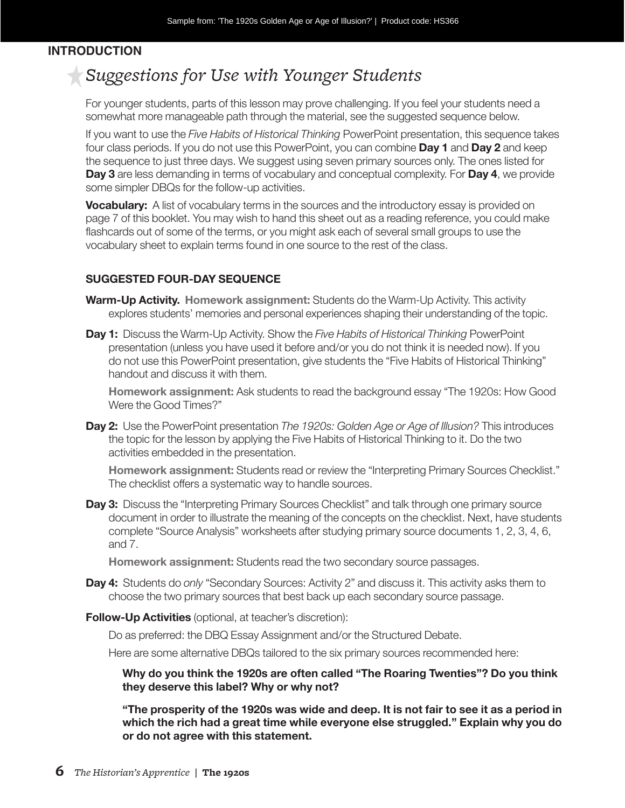#### *Teacher* **INTRODUCTION**

## *Suggestions for Use with Younger Students*

For younger students, parts of this lesson may prove challenging. If you feel your students need a somewhat more manageable path through the material, see the suggested sequence below.

If you want to use the *Five Habits of Historical Thinking* PowerPoint presentation, this sequence takes four class periods. If you do not use this PowerPoint, you can combine **Day 1** and **Day 2** and keep the sequence to just three days. We suggest using seven primary sources only. The ones listed for **Day 3** are less demanding in terms of vocabulary and conceptual complexity. For **Day 4**, we provide some simpler DBQs for the follow-up activities.

**Vocabulary:** A list of vocabulary terms in the sources and the introductory essay is provided on page 7 of this booklet. You may wish to hand this sheet out as a reading reference, you could make flashcards out of some of the terms, or you might ask each of several small groups to use the vocabulary sheet to explain terms found in one source to the rest of the class.

#### **SUGGESTED FOUR-DAY SEQUENCE**

- **Warm-Up Activity. Homework assignment:** Students do the Warm-Up Activity. This activity explores students' memories and personal experiences shaping their understanding of the topic.
- **Day 1:** Discuss the Warm-Up Activity. Show the *Five Habits of Historical Thinking* PowerPoint presentation (unless you have used it before and/or you do not think it is needed now). If you do not use this PowerPoint presentation, give students the "Five Habits of Historical Thinking" handout and discuss it with them.

**Homework assignment:** Ask students to read the background essay "The 1920s: How Good Were the Good Times?"

**Day 2:** Use the PowerPoint presentation *The 1920s: Golden Age or Age of Illusion?* This introduces the topic for the lesson by applying the Five Habits of Historical Thinking to it. Do the two activities embedded in the presentation.

**Homework assignment:** Students read or review the "Interpreting Primary Sources Checklist." The checklist offers a systematic way to handle sources.

**Day 3:** Discuss the "Interpreting Primary Sources Checklist" and talk through one primary source document in order to illustrate the meaning of the concepts on the checklist. Next, have students complete "Source Analysis" worksheets after studying primary source documents 1, 2, 3, 4, 6, and 7.

**Homework assignment:** Students read the two secondary source passages.

- **Day 4:** Students do *only* "Secondary Sources: Activity 2" and discuss it. This activity asks them to choose the two primary sources that best back up each secondary source passage.
- **Follow-Up Activities** (optional, at teacher's discretion):

Do as preferred: the DBQ Essay Assignment and/or the Structured Debate.

Here are some alternative DBQs tailored to the six primary sources recommended here:

**Why do you think the 1920s are often called "The Roaring Twenties"? Do you think they deserve this label? Why or why not?** 

**"The prosperity of the 1920s was wide and deep. It is not fair to see it as a period in which the rich had a great time while everyone else struggled." Explain why you do or do not agree with this statement.**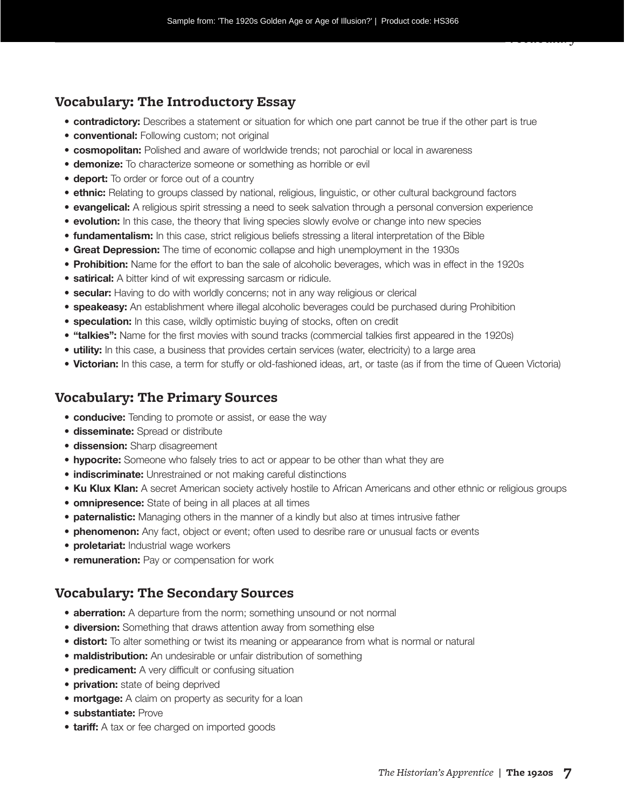#### **Vocabulary: The Introductory Essay**

- **contradictory:** Describes a statement or situation for which one part cannot be true if the other part is true
- **conventional:** Following custom; not original
- **cosmopolitan:** Polished and aware of worldwide trends; not parochial or local in awareness
- **demonize:** To characterize someone or something as horrible or evil
- **deport:** To order or force out of a country
- **ethnic:** Relating to groups classed by national, religious, linguistic, or other cultural background factors
- **evangelical:** A religious spirit stressing a need to seek salvation through a personal conversion experience
- **evolution:** In this case, the theory that living species slowly evolve or change into new species
- **fundamentalism:** In this case, strict religious beliefs stressing a literal interpretation of the Bible
- **Great Depression:** The time of economic collapse and high unemployment in the 1930s
- **Prohibition:** Name for the effort to ban the sale of alcoholic beverages, which was in effect in the 1920s
- **satirical:** A bitter kind of wit expressing sarcasm or ridicule.
- **secular:** Having to do with worldly concerns; not in any way religious or clerical
- **speakeasy:** An establishment where illegal alcoholic beverages could be purchased during Prohibition
- **speculation:** In this case, wildly optimistic buying of stocks, often on credit
- **"talkies":** Name for the first movies with sound tracks (commercial talkies first appeared in the 1920s)
- **utility:** In this case, a business that provides certain services (water, electricity) to a large area
- **Victorian:** In this case, a term for stuffy or old-fashioned ideas, art, or taste (as if from the time of Queen Victoria)

#### **Vocabulary: The Primary Sources**

- **conducive:** Tending to promote or assist, or ease the way
- **disseminate:** Spread or distribute
- **dissension:** Sharp disagreement
- **hypocrite:** Someone who falsely tries to act or appear to be other than what they are
- **indiscriminate:** Unrestrained or not making careful distinctions
- **Ku Klux Klan:** A secret American society actively hostile to African Americans and other ethnic or religious groups
- **omnipresence:** State of being in all places at all times
- **paternalistic:** Managing others in the manner of a kindly but also at times intrusive father
- **phenomenon:** Any fact, object or event; often used to desribe rare or unusual facts or events
- **proletariat:** Industrial wage workers
- **remuneration:** Pay or compensation for work

#### **Vocabulary: The Secondary Sources**

- **aberration:** A departure from the norm; something unsound or not normal
- **diversion:** Something that draws attention away from something else
- **distort:** To alter something or twist its meaning or appearance from what is normal or natural
- **maldistribution:** An undesirable or unfair distribution of something
- **predicament:** A very difficult or confusing situation
- **privation:** state of being deprived
- **mortgage:** A claim on property as security for a loan
- **substantiate:** Prove
- **tariff:** A tax or fee charged on imported goods

*Vocabulary*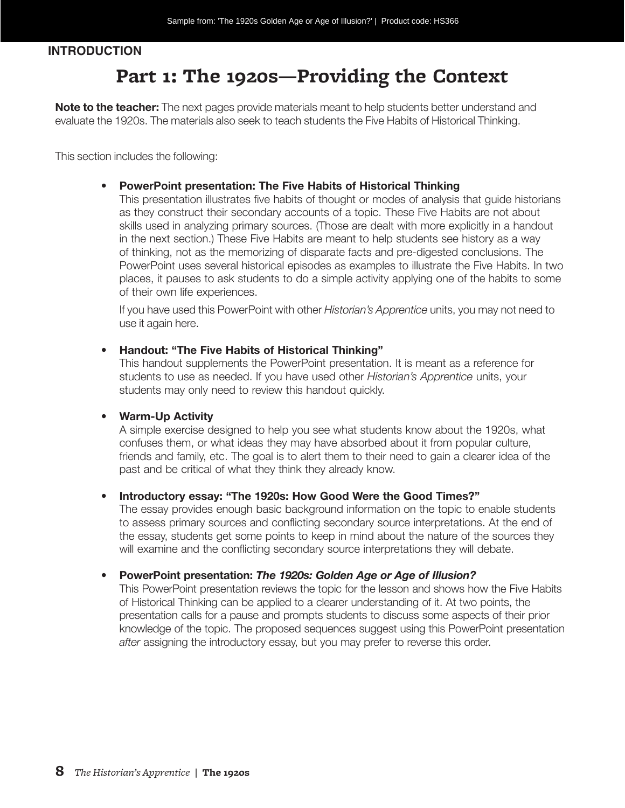#### *Teacher* **INTRODUCTION**

## **Part 1: The 1920s—Providing the Context**

**Note to the teacher:** The next pages provide materials meant to help students better understand and evaluate the 1920s. The materials also seek to teach students the Five Habits of Historical Thinking.

This section includes the following:

#### • **PowerPoint presentation: The Five Habits of Historical Thinking**

This presentation illustrates five habits of thought or modes of analysis that guide historians as they construct their secondary accounts of a topic. These Five Habits are not about skills used in analyzing primary sources. (Those are dealt with more explicitly in a handout in the next section.) These Five Habits are meant to help students see history as a way of thinking, not as the memorizing of disparate facts and pre-digested conclusions. The PowerPoint uses several historical episodes as examples to illustrate the Five Habits. In two places, it pauses to ask students to do a simple activity applying one of the habits to some of their own life experiences.

If you have used this PowerPoint with other *Historian's Apprentice* units, you may not need to use it again here.

#### • **Handout: "The Five Habits of Historical Thinking"**

This handout supplements the PowerPoint presentation. It is meant as a reference for students to use as needed. If you have used other *Historian's Apprentice* units, your students may only need to review this handout quickly.

#### • **Warm-Up Activity**

A simple exercise designed to help you see what students know about the 1920s, what confuses them, or what ideas they may have absorbed about it from popular culture, friends and family, etc. The goal is to alert them to their need to gain a clearer idea of the past and be critical of what they think they already know.

#### • **Introductory essay: "The 1920s: How Good Were the Good Times?"**

The essay provides enough basic background information on the topic to enable students to assess primary sources and conflicting secondary source interpretations. At the end of the essay, students get some points to keep in mind about the nature of the sources they will examine and the conflicting secondary source interpretations they will debate.

#### • **PowerPoint presentation:** *The 1920s: Golden Age or Age of Illusion?*

This PowerPoint presentation reviews the topic for the lesson and shows how the Five Habits of Historical Thinking can be applied to a clearer understanding of it. At two points, the presentation calls for a pause and prompts students to discuss some aspects of their prior knowledge of the topic. The proposed sequences suggest using this PowerPoint presentation *after* assigning the introductory essay, but you may prefer to reverse this order.